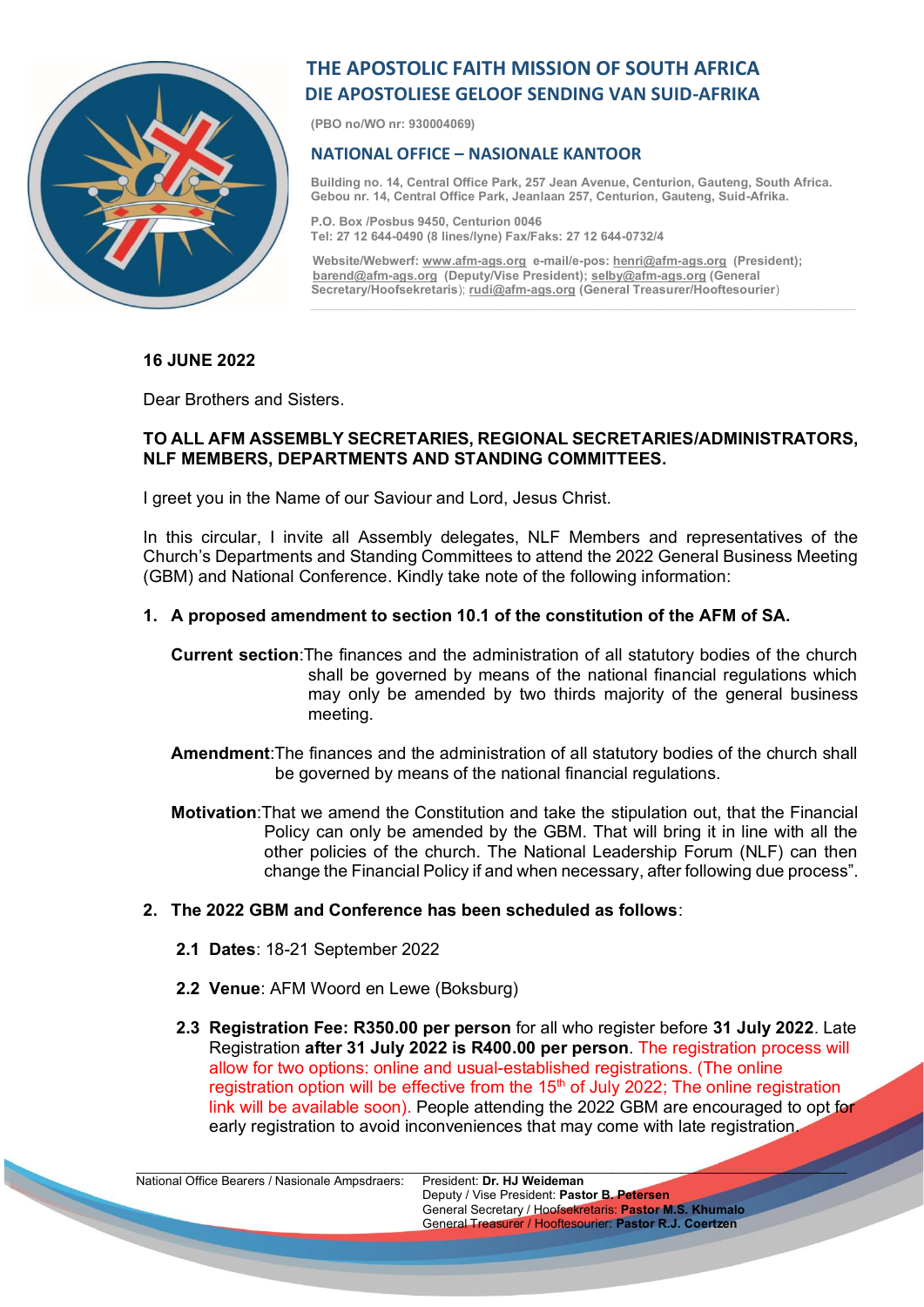

# **THE APOSTOLIC FAITH MISSION OF SOUTH AFRICA DIE APOSTOLIESE GELOOF SENDING VAN SUID-AFRIKA**

**(PBO no/WO nr: 930004069)**

## **NATIONAL OFFICE – NASIONALE KANTOOR**

**Building no. 14, Central Office Park, 257 Jean Avenue, Centurion, Gauteng, South Africa. Gebou nr. 14, Central Office Park, Jeanlaan 257, Centurion, Gauteng, Suid-Afrika.**

**P.O. Box /Posbus 9450, Centurion 0046 Tel: 27 12 644-0490 (8 lines/lyne) Fax/Faks: 27 12 644-0732/4**

 **Website/Webwerf[: www.afm-ags.org](http://www.afm-ags.org/) e-mail/e-pos[: henri@afm-ags.org](mailto:henri@afm-ags.org) (President); [barend@afm-ags.org](mailto:barend@afm-ags.org) (Deputy/Vise President)[; selby@afm-ags.org](mailto:selby@afm-ags.org) (General Secretary/Hoofsekretaris**); **[rudi@afm-ags.org](mailto:rudi@afm-ags.org) (General Treasurer/Hooftesourier**)

#### **16 JUNE 2022**

Dear Brothers and Sisters.

#### **TO ALL AFM ASSEMBLY SECRETARIES, REGIONAL SECRETARIES/ADMINISTRATORS, NLF MEMBERS, DEPARTMENTS AND STANDING COMMITTEES.**

I greet you in the Name of our Saviour and Lord, Jesus Christ.

In this circular, I invite all Assembly delegates, NLF Members and representatives of the Church's Departments and Standing Committees to attend the 2022 General Business Meeting (GBM) and National Conference. Kindly take note of the following information:

## **1. A proposed amendment to section 10.1 of the constitution of the AFM of SA.**

- **Current section**:The finances and the administration of all statutory bodies of the church shall be governed by means of the national financial regulations which may only be amended by two thirds majority of the general business meeting.
- **Amendment**:The finances and the administration of all statutory bodies of the church shall be governed by means of the national financial regulations.
- **Motivation**:That we amend the Constitution and take the stipulation out, that the Financial Policy can only be amended by the GBM. That will bring it in line with all the other policies of the church. The National Leadership Forum (NLF) can then change the Financial Policy if and when necessary, after following due process".
- **2. The 2022 GBM and Conference has been scheduled as follows**:
	- **2.1 Dates**: 18-21 September 2022
	- **2.2 Venue**: AFM Woord en Lewe (Boksburg)
	- **2.3 Registration Fee: R350.00 per person** for all who register before **31 July 2022**. Late Registration **after 31 July 2022 is R400.00 per person**. The registration process will allow for two options: online and usual-established registrations. (The online registration option will be effective from the  $15<sup>th</sup>$  of July 2022; The online registration link will be available soon). People attending the 2022 GBM are encouraged to opt for early registration to avoid inconveniences that may come with late registration.

 $\mathcal{L} = \{ \mathcal{L} = \{ \mathcal{L} = \{ \mathcal{L} = \{ \mathcal{L} = \{ \mathcal{L} = \{ \mathcal{L} = \{ \mathcal{L} = \{ \mathcal{L} = \{ \mathcal{L} = \{ \mathcal{L} = \{ \mathcal{L} = \{ \mathcal{L} = \{ \mathcal{L} = \{ \mathcal{L} = \{ \mathcal{L} = \{ \mathcal{L} = \{ \mathcal{L} = \{ \mathcal{L} = \{ \mathcal{L} = \{ \mathcal{L} = \{ \mathcal{L} = \{ \mathcal{L} = \{ \mathcal{L} = \{ \mathcal{$ 

National Office Bearers / Nasionale Ampsdraers: President: **Dr. HJ Weideman**